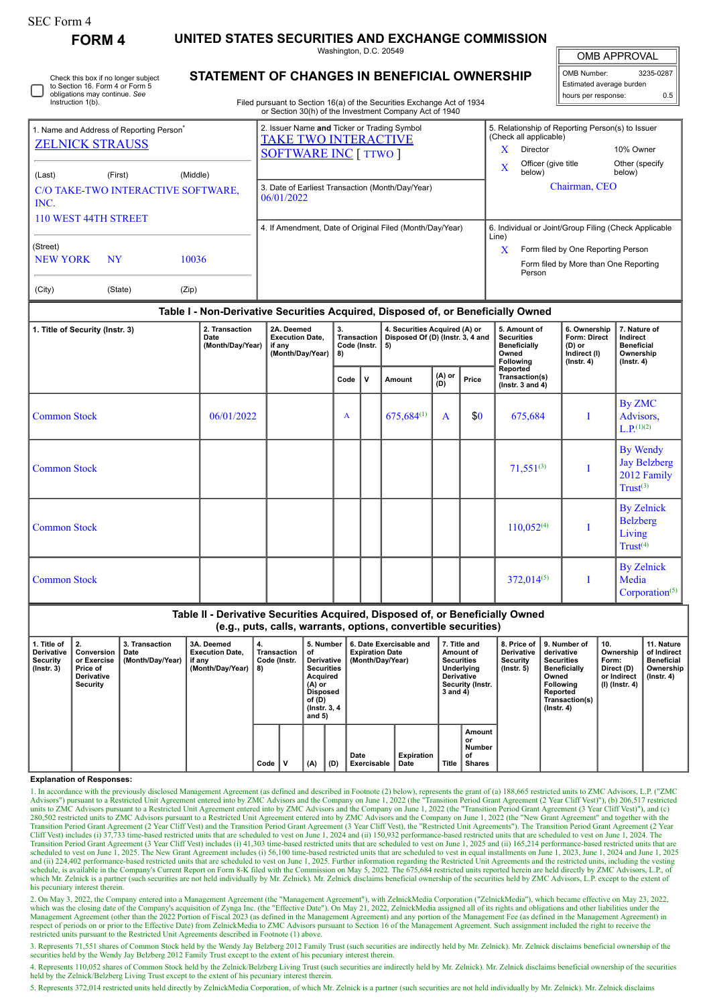| <b>SEC Form 4</b><br><b>FORM4</b>                                                                                            |  |                                            | UNITED STATES SECURITIES AND EXCHANGE COMMISSION                                                                                                                                 |                                           |   |                                                                         |               |                     |                                                                                                                                                                             |                                                                                    |                                                                                |  |
|------------------------------------------------------------------------------------------------------------------------------|--|--------------------------------------------|----------------------------------------------------------------------------------------------------------------------------------------------------------------------------------|-------------------------------------------|---|-------------------------------------------------------------------------|---------------|---------------------|-----------------------------------------------------------------------------------------------------------------------------------------------------------------------------|------------------------------------------------------------------------------------|--------------------------------------------------------------------------------|--|
|                                                                                                                              |  |                                            | Washington, D.C. 20549                                                                                                                                                           |                                           |   |                                                                         |               | <b>OMB APPROVAL</b> |                                                                                                                                                                             |                                                                                    |                                                                                |  |
| Check this box if no longer subject<br>to Section 16. Form 4 or Form 5<br>obligations may continue. See<br>Instruction 1(b). |  |                                            | STATEMENT OF CHANGES IN BENEFICIAL OWNERSHIP<br>Filed pursuant to Section 16(a) of the Securities Exchange Act of 1934<br>or Section 30(h) of the Investment Company Act of 1940 |                                           |   |                                                                         |               |                     |                                                                                                                                                                             | OMB Number:<br>3235-0287<br>Estimated average burden<br>0.5<br>hours per response: |                                                                                |  |
| 1. Name and Address of Reporting Person <sup>*</sup><br><b>ZELNICK STRAUSS</b><br>(Middle)                                   |  |                                            | 2. Issuer Name and Ticker or Trading Symbol<br><b>TAKE TWO INTERACTIVE</b><br><b>SOFTWARE INC [ TTWO ]</b>                                                                       |                                           |   |                                                                         |               |                     | 5. Relationship of Reporting Person(s) to Issuer<br>(Check all applicable)<br>X.<br>Director<br>10% Owner<br>Officer (give title<br>Other (specify<br>X<br>below)<br>below) |                                                                                    |                                                                                |  |
| (Last)<br>(First)<br>C/O TAKE-TWO INTERACTIVE SOFTWARE.<br>INC.<br>110 WEST 44TH STREET                                      |  |                                            | 3. Date of Earliest Transaction (Month/Day/Year)<br>06/01/2022                                                                                                                   |                                           |   |                                                                         |               |                     | Chairman, CEO                                                                                                                                                               |                                                                                    |                                                                                |  |
| (Street)<br><b>NEW YORK</b><br>NY<br>10036<br>(City)<br>(State)<br>(Zip)                                                     |  |                                            | 4. If Amendment, Date of Original Filed (Month/Day/Year)                                                                                                                         |                                           |   |                                                                         |               |                     | 6. Individual or Joint/Group Filing (Check Applicable<br>Line)<br>X<br>Form filed by One Reporting Person<br>Form filed by More than One Reporting<br>Person                |                                                                                    |                                                                                |  |
|                                                                                                                              |  |                                            | Table I - Non-Derivative Securities Acquired, Disposed of, or Beneficially Owned                                                                                                 |                                           |   |                                                                         |               |                     |                                                                                                                                                                             |                                                                                    |                                                                                |  |
| 1. Title of Security (Instr. 3)                                                                                              |  | 2. Transaction<br>Date<br>(Month/Day/Year) | 2A. Deemed<br><b>Execution Date.</b><br>if any<br>(Month/Day/Year)                                                                                                               | 3.<br>Transaction<br>Code (Instr.  <br>8) |   | 4. Securities Acquired (A) or<br>Disposed Of (D) (Instr. 3, 4 and<br>5) |               |                     | 5. Amount of<br><b>Securities</b><br><b>Beneficially</b><br>Owned<br><b>Following</b>                                                                                       | 6. Ownership<br>Form: Direct<br>(D) or<br>Indirect (I)<br>$($ Instr. 4 $)$         | 7. Nature of<br>Indirect<br><b>Beneficial</b><br>Ownership<br>$($ Instr. 4 $)$ |  |
|                                                                                                                              |  |                                            |                                                                                                                                                                                  | Code                                      | v | Amount                                                                  | (A) or<br>(D) | Price               | Reported<br>Transaction(s)<br>(Instr. 3 and $4$ )                                                                                                                           |                                                                                    |                                                                                |  |
| <b>Common Stock</b>                                                                                                          |  | 06/01/2022                                 |                                                                                                                                                                                  | A                                         |   | $675.684^{(1)}$                                                         | A             | \$0                 | 675,684                                                                                                                                                                     | Т                                                                                  | By ZMC<br>Advisors,<br>$L.P.^{(1)(2)}$                                         |  |
| <b>Common Stock</b>                                                                                                          |  |                                            |                                                                                                                                                                                  |                                           |   |                                                                         |               |                     | $71,551^{(3)}$                                                                                                                                                              | Т                                                                                  | <b>By Wendy</b><br><b>Jay Belzberg</b><br>2012 Family<br>Trust <sup>(3)</sup>  |  |
|                                                                                                                              |  |                                            |                                                                                                                                                                                  |                                           |   |                                                                         |               |                     |                                                                                                                                                                             |                                                                                    | <b>By Zelnick</b>                                                              |  |

Common Stock 110,052(4) I

 $Common Stock$  I I  $372,014^{(5)}$  I

**5. Number of Derivative Securities Acquired (A) or Disposed of (D) (Instr. 3, 4 and 5)**

**4. Transaction Code (Instr. 8)**

 $Code \n\begin{bmatrix} V \\ W \end{bmatrix} (A) \n\begin{bmatrix} D \end{bmatrix}$ 

**1. Title of Derivative Security (Instr. 3)**

**2. Conversion or Exercise Price of Derivative Security**

**Explanation of Responses:**

his pecuniary interest therein.

**3. Transaction Date**

**(Month/Day/Year)**

**3A. Deemed Execution Date, if any (Month/Day/Year)**

**Table II - Derivative Securities Acquired, Disposed of, or Beneficially Owned (e.g., puts, calls, warrants, options, convertible securities)**

> **Date Exercisable**

1. In accordance with the previously disclosed Management Agreement (as defined and described in Footnote (2) below), represents the grant of (a) 188,665 restricted units to ZMC Advisors, L.P. ("ZMC

Advisors") pursuant to a Restricted Unit Agreement entered into by ZMC Advisors and the Company on June 1, 2022 (the "Transition Period Grant Agreement (2 Year Cliff Vest)"), (b) 206,517 restricted units to ZMC Advisors pu

Transition Period Grant Agreement (3 Year Cliff Vest) includes (i) 41,303 time-based restricted units that are scheduled to vest on June 1, 2025 and (ii) 165,214 performance-based restricted units that are the content of a scheduled to vest on June 1, 2025. The New Grant Agreement includes (i) 56,100 time-based restricted units that are scheduled to vest in equal installments on June 1, 2023, June 1, 2024 and June 1, 2025 and June 1, 2025 an schedule, is available in the Company's Current Report on Form 8-K filed with the Commission on May 5, 2022. The 675,684 restricted units reported herein are held directly by ZMC Advisors, L.P., of<br>which Mr. Zelnick is a p

2. On May 3, 2022, the Company entered into a Management Agreement (the "Management Agreement"), with ZelnickMedia Corporation ("ZelnickMedia"), which became effective on May 23, 2022, which was the closing date of the Com Management Agreement (other than the 2022 Portion of Fiscal 2023 (as defined in the Management Agreement) and any portion of the Management Fee (as defined in the Management Agreement) in respect of periods on or prior to the Effective Date) from ZelnickMedia to ZMC Advisors pursuant to Section 16 of the Management Agreement. Such assignment included the right to receive the restricted units pursuant to the 3. Represents 71,551 shares of Common Stock held by the Wendy Jay Belzberg 2012 Family Trust (such securities are indirectly held by Mr. Zelnick). Mr. Zelnick disclaims beneficial ownership of the securities held by the We 4. Represents 110,052 shares of Common Stock held by the Zelnick/Belzberg Living Trust (such securities are indirectly held by Mr. Zelnick). Mr. Zelnick disclaims beneficial ownership of the securities

**6. Date Exercisable and Expiration Date (Month/Day/Year)**

**Expiration**

**7. Title and Amount of Securities**

**8. Price of Derivative Security (Instr. 5)**

**9. Number of derivative Securities Beneficially Owned Following Reported Transaction(s) (Instr. 4)**

**10. Ownership Form: Direct (D) or Indirect (I) (Instr. 4)**

**Underlying Derivative Security (Instr. 3 and 4)**

**Amount or Number of Shares**

**Date Title**

Belzberg Living  $Trust<sup>(4)</sup>$ 

By Zelnick Media Corporation<sup>(5)</sup>

> **11. Nature of Indirect Beneficial Ownership (Instr. 4)**

| held by the Zelnick/Belzberg Living Trust except to the extent of his pecuniary interest therein.                                                                                                   |  |
|-----------------------------------------------------------------------------------------------------------------------------------------------------------------------------------------------------|--|
| 5. Represents 372.014 restricted units held directly by ZelnickMedia Corporation of which Mr. Zelnick is a partner (such securities are not held individually by Mr. Zelnick) Mr. Zelnick disclaims |  |

epresents 372,014 restricted units held directly by ZelnickMedia Corporation, of which Mr. Zelnick